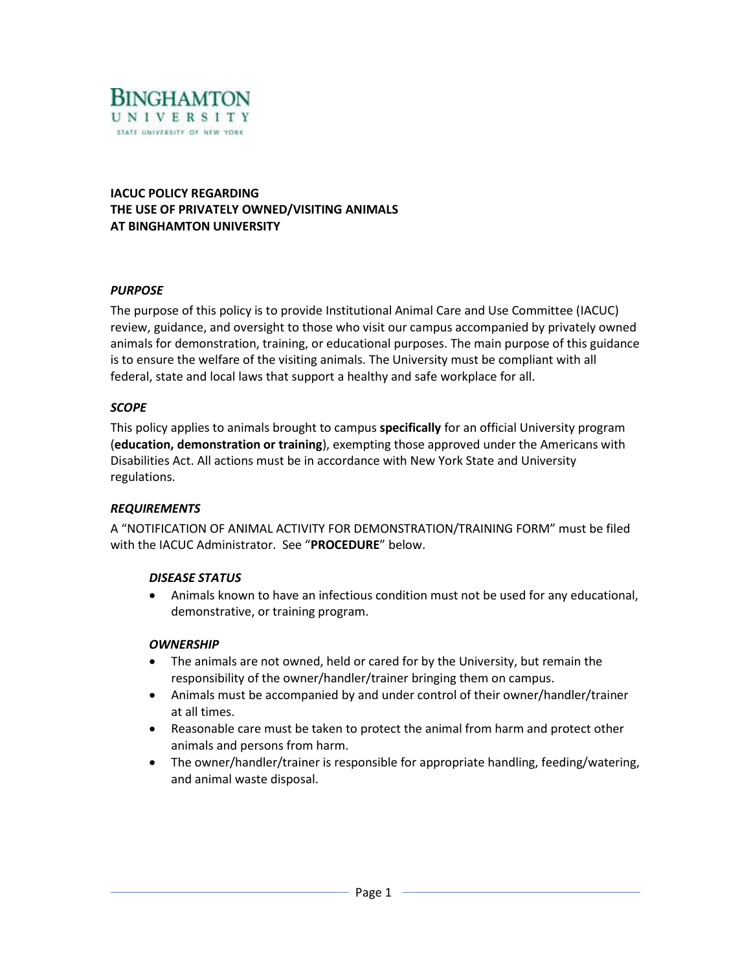

**IACUC POLICY REGARDING THE USE OF PRIVATELY OWNED/VISITING ANIMALS AT BINGHAMTON UNIVERSITY**

### *PURPOSE*

The purpose of this policy is to provide Institutional Animal Care and Use Committee (IACUC) review, guidance, and oversight to those who visit our campus accompanied by privately owned animals for demonstration, training, or educational purposes. The main purpose of this guidance is to ensure the welfare of the visiting animals. The University must be compliant with all federal, state and local laws that support a healthy and safe workplace for all.

### *SCOPE*

This policy applies to animals brought to campus **specifically** for an official University program (**education, demonstration or training**), exempting those approved under the Americans with Disabilities Act. All actions must be in accordance with New York State and University regulations.

## *REQUIREMENTS*

A "NOTIFICATION OF ANIMAL ACTIVITY FOR DEMONSTRATION/TRAINING FORM" must be filed with the IACUC Administrator. See "**PROCEDURE**" below.

#### *DISEASE STATUS*

 Animals known to have an infectious condition must not be used for any educational, demonstrative, or training program.

#### *OWNERSHIP*

- The animals are not owned, held or cared for by the University, but remain the responsibility of the owner/handler/trainer bringing them on campus.
- Animals must be accompanied by and under control of their owner/handler/trainer at all times.
- Reasonable care must be taken to protect the animal from harm and protect other animals and persons from harm.
- The owner/handler/trainer is responsible for appropriate handling, feeding/watering, and animal waste disposal.